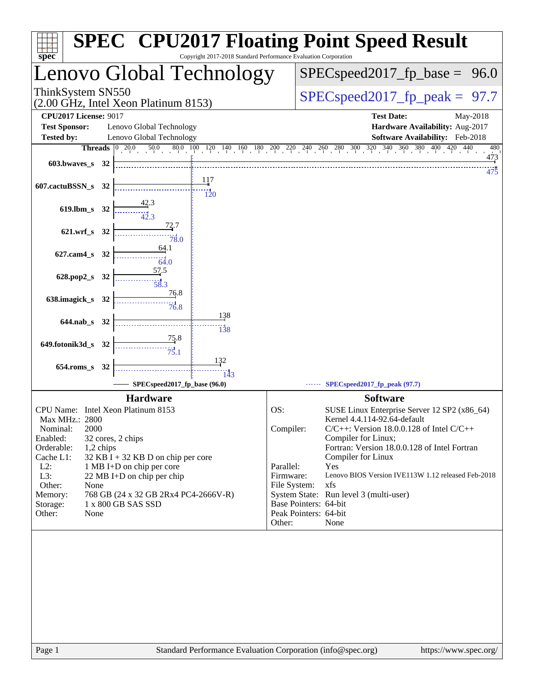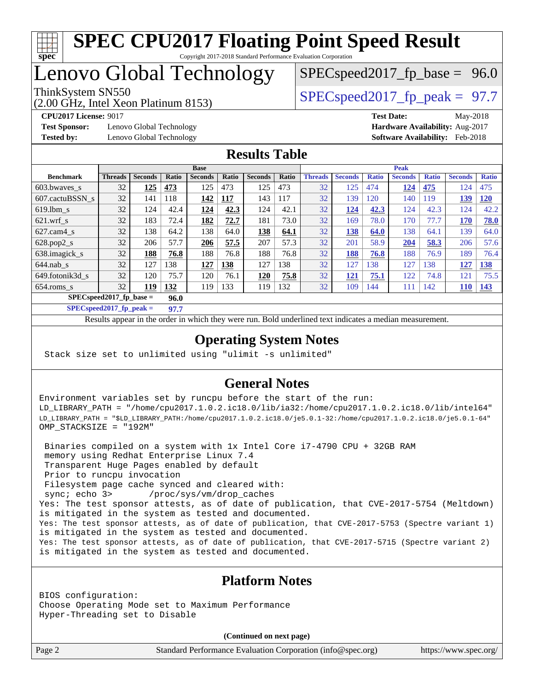

# **[SPEC CPU2017 Floating Point Speed Result](http://www.spec.org/auto/cpu2017/Docs/result-fields.html#SPECCPU2017FloatingPointSpeedResult)**

Copyright 2017-2018 Standard Performance Evaluation Corporation

## Lenovo Global Technology

(2.00 GHz, Intel Xeon Platinum 8153)

ThinkSystem SN550  $SPEC speed2017$  fp\_peak = 97.7

 $SPECspeed2017_fp\_base = 96.0$ 

**[Test Sponsor:](http://www.spec.org/auto/cpu2017/Docs/result-fields.html#TestSponsor)** Lenovo Global Technology **[Hardware Availability:](http://www.spec.org/auto/cpu2017/Docs/result-fields.html#HardwareAvailability)** Aug-2017 **[Tested by:](http://www.spec.org/auto/cpu2017/Docs/result-fields.html#Testedby)** Lenovo Global Technology **[Software Availability:](http://www.spec.org/auto/cpu2017/Docs/result-fields.html#SoftwareAvailability)** Feb-2018

**[CPU2017 License:](http://www.spec.org/auto/cpu2017/Docs/result-fields.html#CPU2017License)** 9017 **[Test Date:](http://www.spec.org/auto/cpu2017/Docs/result-fields.html#TestDate)** May-2018

#### **[Results Table](http://www.spec.org/auto/cpu2017/Docs/result-fields.html#ResultsTable)**

|                                    | <b>Base</b>    |                |              |                |              |                | <b>Peak</b> |                |                |              |                |              |                |              |
|------------------------------------|----------------|----------------|--------------|----------------|--------------|----------------|-------------|----------------|----------------|--------------|----------------|--------------|----------------|--------------|
| <b>Benchmark</b>                   | <b>Threads</b> | <b>Seconds</b> | <b>Ratio</b> | <b>Seconds</b> | <b>Ratio</b> | <b>Seconds</b> | Ratio       | <b>Threads</b> | <b>Seconds</b> | <b>Ratio</b> | <b>Seconds</b> | <b>Ratio</b> | <b>Seconds</b> | <b>Ratio</b> |
| 603.bwayes_s                       | 32             | 125            | 473          | 125            | 473          | 125            | 473         | 32             | 125            | 474          | <u>124</u>     | 475          | 124            | 475          |
| 607.cactuBSSN s                    | 32             | 141            | 118          | 142            | 117          | 143            | 117         | 32             | 139            | 120          | 140            | 119          | 139            | <u>120</u>   |
| $619.1$ bm s                       | 32             | 124            | 42.4         | 124            | 42.3         | 124            | 42.1        | 32             | 124            | 42.3         | 124            | 42.3         | 124            | 42.2         |
| $621$ .wrf s                       | 32             | 183            | 72.4         | 182            | 72.7         | 181            | 73.0        | 32             | 169            | 78.0         | 170            | 77.7         | 170            | 78.0         |
| $627$ .cam $4 \text{ s}$           | 32             | 138            | 64.2         | 138            | 64.0         | 138            | 64.1        | 32             | 138            | 64.0         | 138            | 64.1         | 139            | 64.0         |
| $628.pop2_s$                       | 32             | 206            | 57.7         | 206            | 57.5         | 207            | 57.3        | 32             | 201            | 58.9         | 204            | 58.3         | 206            | 57.6         |
| 638.imagick_s                      | 32             | 188            | 76.8         | 188            | 76.8         | 188            | 76.8        | 32             | 188            | 76.8         | 188            | 76.9         | 189            | 76.4         |
| $644$ .nab s                       | 32             | 127            | 138          | 127            | 138          | 127            | 138         | 32             | 127            | 138          | 127            | 138          | 127            | <u>138</u>   |
| 649.fotonik3d s                    | 32             | 120            | 75.7         | 120            | 76.1         | 120            | 75.8        | 32             | 121            | 75.1         | 122            | 74.8         | 121            | 75.5         |
| $654$ .roms s                      | 32             | 119            | 132          | 119            | 133          | 119            | 132         | 32             | 109            | 144          | 111            | 142          | 110            | <u>143</u>   |
| $SPECspeed2017_fp\_base =$<br>96.0 |                |                |              |                |              |                |             |                |                |              |                |              |                |              |

**[SPECspeed2017\\_fp\\_peak =](http://www.spec.org/auto/cpu2017/Docs/result-fields.html#SPECspeed2017fppeak) 97.7**

Results appear in the [order in which they were run.](http://www.spec.org/auto/cpu2017/Docs/result-fields.html#RunOrder) Bold underlined text [indicates a median measurement](http://www.spec.org/auto/cpu2017/Docs/result-fields.html#Median).

#### **[Operating System Notes](http://www.spec.org/auto/cpu2017/Docs/result-fields.html#OperatingSystemNotes)**

Stack size set to unlimited using "ulimit -s unlimited"

#### **[General Notes](http://www.spec.org/auto/cpu2017/Docs/result-fields.html#GeneralNotes)**

Environment variables set by runcpu before the start of the run: LD\_LIBRARY\_PATH = "/home/cpu2017.1.0.2.ic18.0/lib/ia32:/home/cpu2017.1.0.2.ic18.0/lib/intel64" LD\_LIBRARY\_PATH = "\$LD\_LIBRARY\_PATH:/home/cpu2017.1.0.2.ic18.0/je5.0.1-32:/home/cpu2017.1.0.2.ic18.0/je5.0.1-64" OMP\_STACKSIZE = "192M"

 Binaries compiled on a system with 1x Intel Core i7-4790 CPU + 32GB RAM memory using Redhat Enterprise Linux 7.4 Transparent Huge Pages enabled by default Prior to runcpu invocation Filesystem page cache synced and cleared with: sync; echo 3> /proc/sys/vm/drop\_caches Yes: The test sponsor attests, as of date of publication, that CVE-2017-5754 (Meltdown) is mitigated in the system as tested and documented. Yes: The test sponsor attests, as of date of publication, that CVE-2017-5753 (Spectre variant 1) is mitigated in the system as tested and documented. Yes: The test sponsor attests, as of date of publication, that CVE-2017-5715 (Spectre variant 2) is mitigated in the system as tested and documented.

#### **[Platform Notes](http://www.spec.org/auto/cpu2017/Docs/result-fields.html#PlatformNotes)**

BIOS configuration: Choose Operating Mode set to Maximum Performance Hyper-Threading set to Disable

**(Continued on next page)**

Page 2 Standard Performance Evaluation Corporation [\(info@spec.org\)](mailto:info@spec.org) <https://www.spec.org/>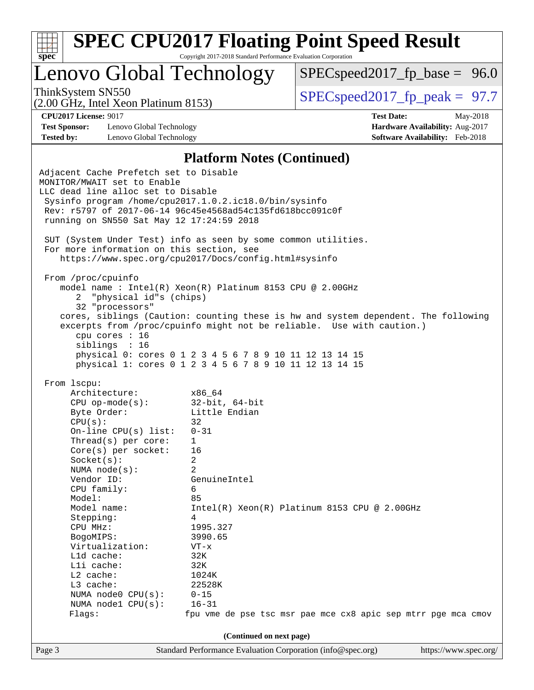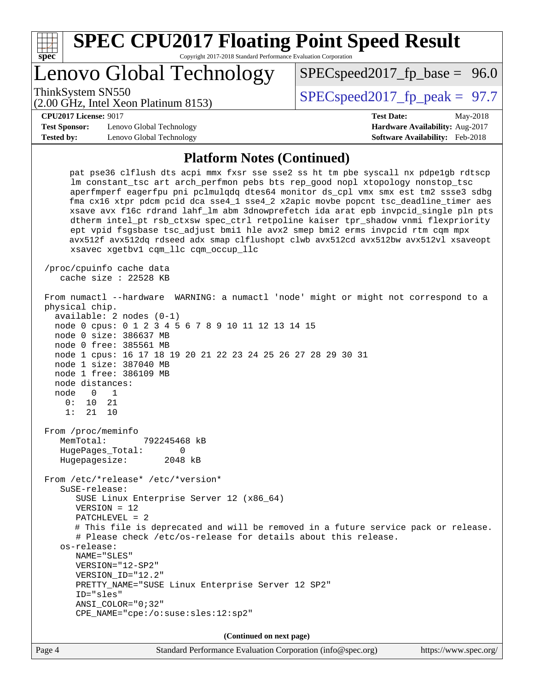| $spec^*$                                  | <b>SPEC CPU2017 Floating Point Speed Result</b><br>Copyright 2017-2018 Standard Performance Evaluation Corporation                                                                                                                                                                                                                                                                                                                                                                                                                                                                                                                                                                                                                                                                                                                                                                                                                                                                                                                                                                                                                                                                                                                           |                                                                                                     |
|-------------------------------------------|----------------------------------------------------------------------------------------------------------------------------------------------------------------------------------------------------------------------------------------------------------------------------------------------------------------------------------------------------------------------------------------------------------------------------------------------------------------------------------------------------------------------------------------------------------------------------------------------------------------------------------------------------------------------------------------------------------------------------------------------------------------------------------------------------------------------------------------------------------------------------------------------------------------------------------------------------------------------------------------------------------------------------------------------------------------------------------------------------------------------------------------------------------------------------------------------------------------------------------------------|-----------------------------------------------------------------------------------------------------|
|                                           | Lenovo Global Technology                                                                                                                                                                                                                                                                                                                                                                                                                                                                                                                                                                                                                                                                                                                                                                                                                                                                                                                                                                                                                                                                                                                                                                                                                     | $SPEC speed2017_f p\_base = 96.0$                                                                   |
|                                           | ThinkSystem SN550<br>(2.00 GHz, Intel Xeon Platinum 8153)                                                                                                                                                                                                                                                                                                                                                                                                                                                                                                                                                                                                                                                                                                                                                                                                                                                                                                                                                                                                                                                                                                                                                                                    | $SPEC speed2017fp peak = 97.7$                                                                      |
| <b>Test Sponsor:</b><br><b>Tested by:</b> | <b>CPU2017 License: 9017</b><br>Lenovo Global Technology<br>Lenovo Global Technology                                                                                                                                                                                                                                                                                                                                                                                                                                                                                                                                                                                                                                                                                                                                                                                                                                                                                                                                                                                                                                                                                                                                                         | <b>Test Date:</b><br>May-2018<br>Hardware Availability: Aug-2017<br>Software Availability: Feb-2018 |
|                                           | <b>Platform Notes (Continued)</b>                                                                                                                                                                                                                                                                                                                                                                                                                                                                                                                                                                                                                                                                                                                                                                                                                                                                                                                                                                                                                                                                                                                                                                                                            |                                                                                                     |
| node<br>0 :<br>1:                         | pat pse36 clflush dts acpi mmx fxsr sse sse2 ss ht tm pbe syscall nx pdpelgb rdtscp<br>lm constant_tsc art arch_perfmon pebs bts rep_good nopl xtopology nonstop_tsc<br>aperfmperf eagerfpu pni pclmulqdq dtes64 monitor ds_cpl vmx smx est tm2 ssse3 sdbg<br>fma cx16 xtpr pdcm pcid dca sse4_1 sse4_2 x2apic movbe popcnt tsc_deadline_timer aes<br>xsave avx f16c rdrand lahf_lm abm 3dnowprefetch ida arat epb invpcid_single pln pts<br>dtherm intel_pt rsb_ctxsw spec_ctrl retpoline kaiser tpr_shadow vnmi flexpriority<br>ept vpid fsgsbase tsc_adjust bmil hle avx2 smep bmi2 erms invpcid rtm cqm mpx<br>avx512f avx512dq rdseed adx smap clflushopt clwb avx512cd avx512bw avx512vl xsaveopt<br>xsavec xgetbvl cqm_llc cqm_occup_llc<br>/proc/cpuinfo cache data<br>cache size : 22528 KB<br>From numactl --hardware WARNING: a numactl 'node' might or might not correspond to a<br>physical chip.<br>$available: 2 nodes (0-1)$<br>node 0 cpus: 0 1 2 3 4 5 6 7 8 9 10 11 12 13 14 15<br>node 0 size: 386637 MB<br>node 0 free: 385561 MB<br>node 1 cpus: 16 17 18 19 20 21 22 23 24 25 26 27 28 29 30 31<br>node 1 size: 387040 MB<br>node 1 free: 386109 MB<br>node distances:<br>$\overline{0}$<br>1<br>10<br>21<br>21<br>10 |                                                                                                     |
|                                           | From /proc/meminfo<br>MemTotal:<br>792245468 kB<br>$\Omega$<br>HugePages_Total:<br>Hugepagesize:<br>2048 kB<br>From /etc/*release* /etc/*version*<br>$S$ uSE-release:<br>SUSE Linux Enterprise Server 12 (x86_64)<br>$VERSION = 12$<br>$PATCHLEVEL = 2$<br># This file is deprecated and will be removed in a future service pack or release.<br># Please check /etc/os-release for details about this release.<br>os-release:<br>NAME="SLES"<br>VERSION="12-SP2"<br>VERSION_ID="12.2"<br>PRETTY_NAME="SUSE Linux Enterprise Server 12 SP2"<br>ID="sles"<br>$ANSI\_COLOR = "0; 32"$<br>CPE_NAME="cpe:/o:suse:sles:12:sp2"                                                                                                                                                                                                                                                                                                                                                                                                                                                                                                                                                                                                                    |                                                                                                     |
| Page 4                                    | (Continued on next page)<br>Standard Performance Evaluation Corporation (info@spec.org)                                                                                                                                                                                                                                                                                                                                                                                                                                                                                                                                                                                                                                                                                                                                                                                                                                                                                                                                                                                                                                                                                                                                                      | https://www.spec.org/                                                                               |
|                                           |                                                                                                                                                                                                                                                                                                                                                                                                                                                                                                                                                                                                                                                                                                                                                                                                                                                                                                                                                                                                                                                                                                                                                                                                                                              |                                                                                                     |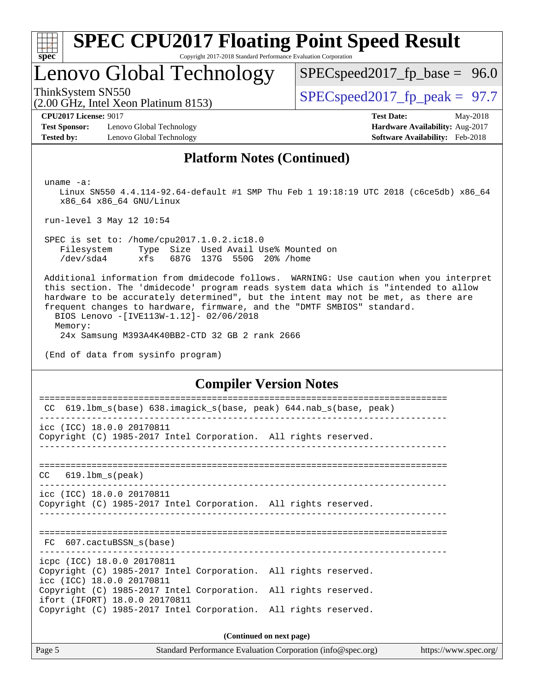

# **[SPEC CPU2017 Floating Point Speed Result](http://www.spec.org/auto/cpu2017/Docs/result-fields.html#SPECCPU2017FloatingPointSpeedResult)**

Copyright 2017-2018 Standard Performance Evaluation Corporation

### Lenovo Global Technology

 $SPEC speed2017_fp\_base = 96.0$ 

(2.00 GHz, Intel Xeon Platinum 8153) ThinkSystem SN550<br>(2.00 GHz, Intel Year Platinum 8153) [SPECspeed2017\\_fp\\_peak =](http://www.spec.org/auto/cpu2017/Docs/result-fields.html#SPECspeed2017fppeak) 97.7

**[Test Sponsor:](http://www.spec.org/auto/cpu2017/Docs/result-fields.html#TestSponsor)** Lenovo Global Technology **[Hardware Availability:](http://www.spec.org/auto/cpu2017/Docs/result-fields.html#HardwareAvailability)** Aug-2017 **[Tested by:](http://www.spec.org/auto/cpu2017/Docs/result-fields.html#Testedby)** Lenovo Global Technology **[Software Availability:](http://www.spec.org/auto/cpu2017/Docs/result-fields.html#SoftwareAvailability)** Feb-2018

**[CPU2017 License:](http://www.spec.org/auto/cpu2017/Docs/result-fields.html#CPU2017License)** 9017 **[Test Date:](http://www.spec.org/auto/cpu2017/Docs/result-fields.html#TestDate)** May-2018

#### **[Platform Notes \(Continued\)](http://www.spec.org/auto/cpu2017/Docs/result-fields.html#PlatformNotes)**

uname -a:

 Linux SN550 4.4.114-92.64-default #1 SMP Thu Feb 1 19:18:19 UTC 2018 (c6ce5db) x86\_64 x86\_64 x86\_64 GNU/Linux

run-level 3 May 12 10:54

 SPEC is set to: /home/cpu2017.1.0.2.ic18.0 Filesystem Type Size Used Avail Use% Mounted on /dev/sda4 xfs 687G 137G 550G 20% /home

 Additional information from dmidecode follows. WARNING: Use caution when you interpret this section. The 'dmidecode' program reads system data which is "intended to allow hardware to be accurately determined", but the intent may not be met, as there are frequent changes to hardware, firmware, and the "DMTF SMBIOS" standard. BIOS Lenovo -[IVE113W-1.12]- 02/06/2018 Memory:

24x Samsung M393A4K40BB2-CTD 32 GB 2 rank 2666

(End of data from sysinfo program)

#### **[Compiler Version Notes](http://www.spec.org/auto/cpu2017/Docs/result-fields.html#CompilerVersionNotes)**

| CC 619.1bm_s(base) 638.imagick_s(base, peak) 644.nab_s(base, peak)                                                         |  |  |  |  |  |
|----------------------------------------------------------------------------------------------------------------------------|--|--|--|--|--|
| icc (ICC) 18.0.0 20170811<br>Copyright (C) 1985-2017 Intel Corporation. All rights reserved.                               |  |  |  |  |  |
| $CC$ $619.1bm_s(peak)$                                                                                                     |  |  |  |  |  |
| icc (ICC) 18.0.0 20170811<br>Copyright (C) 1985-2017 Intel Corporation. All rights reserved.                               |  |  |  |  |  |
| FC 607.cactuBSSN s(base)                                                                                                   |  |  |  |  |  |
| icpc (ICC) 18.0.0 20170811<br>Copyright (C) 1985-2017 Intel Corporation. All rights reserved.<br>icc (ICC) 18.0.0 20170811 |  |  |  |  |  |
| Copyright (C) 1985-2017 Intel Corporation. All rights reserved.<br>ifort (IFORT) 18.0.0 20170811                           |  |  |  |  |  |
| Copyright (C) 1985-2017 Intel Corporation. All rights reserved.                                                            |  |  |  |  |  |
| (Continued on next page)                                                                                                   |  |  |  |  |  |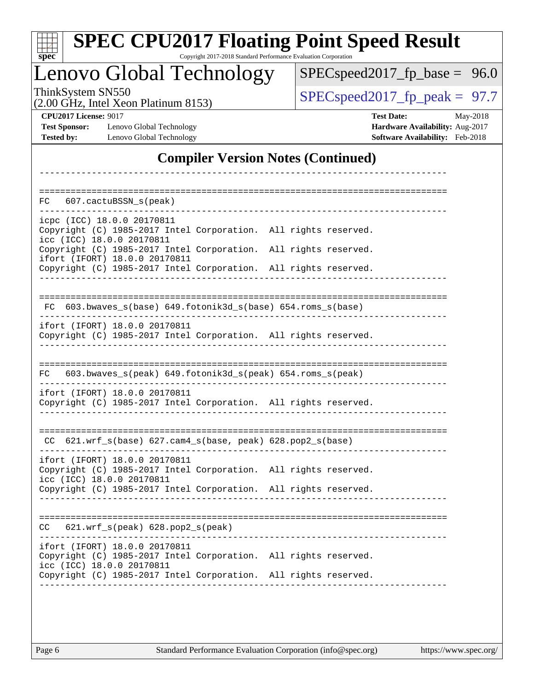| v |  |  |  |  |  |
|---|--|--|--|--|--|

# **[SPEC CPU2017 Floating Point Speed Result](http://www.spec.org/auto/cpu2017/Docs/result-fields.html#SPECCPU2017FloatingPointSpeedResult)**

Copyright 2017-2018 Standard Performance Evaluation Corporation

Lenovo Global Technology

 $SPEC speed2017_fp\_base = 96.0$ 

(2.00 GHz, Intel Xeon Platinum 8153)

ThinkSystem SN550<br>  $(2.00 \text{ GHz. Intel Yeon Platinum } 8153)$  [SPECspeed2017\\_fp\\_peak =](http://www.spec.org/auto/cpu2017/Docs/result-fields.html#SPECspeed2017fppeak) 97.7

**[Test Sponsor:](http://www.spec.org/auto/cpu2017/Docs/result-fields.html#TestSponsor)** Lenovo Global Technology **[Hardware Availability:](http://www.spec.org/auto/cpu2017/Docs/result-fields.html#HardwareAvailability)** Aug-2017 [Tested by:](http://www.spec.org/auto/cpu2017/Docs/result-fields.html#Testedby) Lenovo Global Technology **[Software Availability:](http://www.spec.org/auto/cpu2017/Docs/result-fields.html#SoftwareAvailability)** Feb-2018

**[CPU2017 License:](http://www.spec.org/auto/cpu2017/Docs/result-fields.html#CPU2017License)** 9017 **[Test Date:](http://www.spec.org/auto/cpu2017/Docs/result-fields.html#TestDate)** May-2018

#### **[Compiler Version Notes \(Continued\)](http://www.spec.org/auto/cpu2017/Docs/result-fields.html#CompilerVersionNotes)**

| 607.cactuBSSN_s(peak)<br>FC.                                                                                                  |                      |
|-------------------------------------------------------------------------------------------------------------------------------|----------------------|
| icpc (ICC) 18.0.0 20170811<br>Copyright (C) 1985-2017 Intel Corporation.<br>icc (ICC) 18.0.0 20170811                         | All rights reserved. |
| Copyright (C) 1985-2017 Intel Corporation.<br>ifort (IFORT) 18.0.0 20170811                                                   | All rights reserved. |
| Copyright (C) 1985-2017 Intel Corporation.                                                                                    | All rights reserved. |
| 603.bwaves_s(base) 649.fotonik3d_s(base) 654.roms_s(base)<br>FC                                                               |                      |
| ifort (IFORT) 18.0.0 20170811<br>Copyright (C) 1985-2017 Intel Corporation. All rights reserved.                              |                      |
| 603.bwaves_s(peak) 649.fotonik3d_s(peak) 654.roms_s(peak)<br>FC                                                               |                      |
| ifort (IFORT) 18.0.0 20170811<br>Copyright (C) 1985-2017 Intel Corporation. All rights reserved.                              |                      |
| 621.wrf_s(base) 627.cam4_s(base, peak) 628.pop2_s(base)<br>CC.                                                                |                      |
| ifort (IFORT) 18.0.0 20170811<br>Copyright (C) 1985-2017 Intel Corporation.<br>icc (ICC) 18.0.0 20170811                      | All rights reserved. |
| Copyright (C) 1985-2017 Intel Corporation. All rights reserved.                                                               |                      |
| ===============<br>621.wrf_s(peak) 628.pop2_s(peak)<br>CC.                                                                    |                      |
| ifort (IFORT) 18.0.0 20170811<br>Copyright (C) 1985-2017 Intel Corporation. All rights reserved.<br>icc (ICC) 18.0.0 20170811 |                      |
| Copyright (C) 1985-2017 Intel Corporation.                                                                                    | All rights reserved. |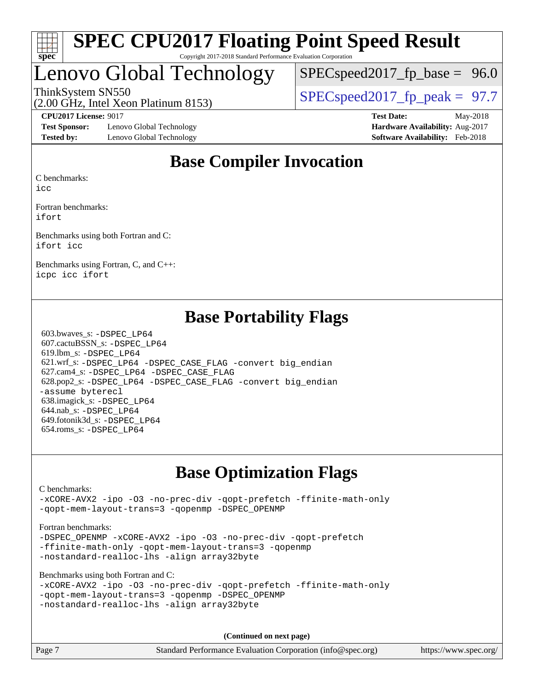

## Lenovo Global Technology

 $SPECspeed2017_fp\_base = 96.0$ 

(2.00 GHz, Intel Xeon Platinum 8153)

ThinkSystem SN550  $SPEC speed2017$  fp\_peak = 97.7

**[Test Sponsor:](http://www.spec.org/auto/cpu2017/Docs/result-fields.html#TestSponsor)** Lenovo Global Technology **[Hardware Availability:](http://www.spec.org/auto/cpu2017/Docs/result-fields.html#HardwareAvailability)** Aug-2017 **[Tested by:](http://www.spec.org/auto/cpu2017/Docs/result-fields.html#Testedby)** Lenovo Global Technology **[Software Availability:](http://www.spec.org/auto/cpu2017/Docs/result-fields.html#SoftwareAvailability)** Feb-2018

**[CPU2017 License:](http://www.spec.org/auto/cpu2017/Docs/result-fields.html#CPU2017License)** 9017 **[Test Date:](http://www.spec.org/auto/cpu2017/Docs/result-fields.html#TestDate)** May-2018

## **[Base Compiler Invocation](http://www.spec.org/auto/cpu2017/Docs/result-fields.html#BaseCompilerInvocation)**

[C benchmarks](http://www.spec.org/auto/cpu2017/Docs/result-fields.html#Cbenchmarks):

[icc](http://www.spec.org/cpu2017/results/res2018q3/cpu2017-20180618-07093.flags.html#user_CCbase_intel_icc_18.0_66fc1ee009f7361af1fbd72ca7dcefbb700085f36577c54f309893dd4ec40d12360134090235512931783d35fd58c0460139e722d5067c5574d8eaf2b3e37e92)

[Fortran benchmarks](http://www.spec.org/auto/cpu2017/Docs/result-fields.html#Fortranbenchmarks): [ifort](http://www.spec.org/cpu2017/results/res2018q3/cpu2017-20180618-07093.flags.html#user_FCbase_intel_ifort_18.0_8111460550e3ca792625aed983ce982f94888b8b503583aa7ba2b8303487b4d8a21a13e7191a45c5fd58ff318f48f9492884d4413fa793fd88dd292cad7027ca)

[Benchmarks using both Fortran and C](http://www.spec.org/auto/cpu2017/Docs/result-fields.html#BenchmarksusingbothFortranandC): [ifort](http://www.spec.org/cpu2017/results/res2018q3/cpu2017-20180618-07093.flags.html#user_CC_FCbase_intel_ifort_18.0_8111460550e3ca792625aed983ce982f94888b8b503583aa7ba2b8303487b4d8a21a13e7191a45c5fd58ff318f48f9492884d4413fa793fd88dd292cad7027ca) [icc](http://www.spec.org/cpu2017/results/res2018q3/cpu2017-20180618-07093.flags.html#user_CC_FCbase_intel_icc_18.0_66fc1ee009f7361af1fbd72ca7dcefbb700085f36577c54f309893dd4ec40d12360134090235512931783d35fd58c0460139e722d5067c5574d8eaf2b3e37e92)

[Benchmarks using Fortran, C, and C++:](http://www.spec.org/auto/cpu2017/Docs/result-fields.html#BenchmarksusingFortranCandCXX) [icpc](http://www.spec.org/cpu2017/results/res2018q3/cpu2017-20180618-07093.flags.html#user_CC_CXX_FCbase_intel_icpc_18.0_c510b6838c7f56d33e37e94d029a35b4a7bccf4766a728ee175e80a419847e808290a9b78be685c44ab727ea267ec2f070ec5dc83b407c0218cded6866a35d07) [icc](http://www.spec.org/cpu2017/results/res2018q3/cpu2017-20180618-07093.flags.html#user_CC_CXX_FCbase_intel_icc_18.0_66fc1ee009f7361af1fbd72ca7dcefbb700085f36577c54f309893dd4ec40d12360134090235512931783d35fd58c0460139e722d5067c5574d8eaf2b3e37e92) [ifort](http://www.spec.org/cpu2017/results/res2018q3/cpu2017-20180618-07093.flags.html#user_CC_CXX_FCbase_intel_ifort_18.0_8111460550e3ca792625aed983ce982f94888b8b503583aa7ba2b8303487b4d8a21a13e7191a45c5fd58ff318f48f9492884d4413fa793fd88dd292cad7027ca)

## **[Base Portability Flags](http://www.spec.org/auto/cpu2017/Docs/result-fields.html#BasePortabilityFlags)**

 603.bwaves\_s: [-DSPEC\\_LP64](http://www.spec.org/cpu2017/results/res2018q3/cpu2017-20180618-07093.flags.html#suite_basePORTABILITY603_bwaves_s_DSPEC_LP64) 607.cactuBSSN\_s: [-DSPEC\\_LP64](http://www.spec.org/cpu2017/results/res2018q3/cpu2017-20180618-07093.flags.html#suite_basePORTABILITY607_cactuBSSN_s_DSPEC_LP64) 619.lbm\_s: [-DSPEC\\_LP64](http://www.spec.org/cpu2017/results/res2018q3/cpu2017-20180618-07093.flags.html#suite_basePORTABILITY619_lbm_s_DSPEC_LP64) 621.wrf\_s: [-DSPEC\\_LP64](http://www.spec.org/cpu2017/results/res2018q3/cpu2017-20180618-07093.flags.html#suite_basePORTABILITY621_wrf_s_DSPEC_LP64) [-DSPEC\\_CASE\\_FLAG](http://www.spec.org/cpu2017/results/res2018q3/cpu2017-20180618-07093.flags.html#b621.wrf_s_baseCPORTABILITY_DSPEC_CASE_FLAG) [-convert big\\_endian](http://www.spec.org/cpu2017/results/res2018q3/cpu2017-20180618-07093.flags.html#user_baseFPORTABILITY621_wrf_s_convert_big_endian_c3194028bc08c63ac5d04de18c48ce6d347e4e562e8892b8bdbdc0214820426deb8554edfa529a3fb25a586e65a3d812c835984020483e7e73212c4d31a38223) 627.cam4\_s: [-DSPEC\\_LP64](http://www.spec.org/cpu2017/results/res2018q3/cpu2017-20180618-07093.flags.html#suite_basePORTABILITY627_cam4_s_DSPEC_LP64) [-DSPEC\\_CASE\\_FLAG](http://www.spec.org/cpu2017/results/res2018q3/cpu2017-20180618-07093.flags.html#b627.cam4_s_baseCPORTABILITY_DSPEC_CASE_FLAG) 628.pop2\_s: [-DSPEC\\_LP64](http://www.spec.org/cpu2017/results/res2018q3/cpu2017-20180618-07093.flags.html#suite_basePORTABILITY628_pop2_s_DSPEC_LP64) [-DSPEC\\_CASE\\_FLAG](http://www.spec.org/cpu2017/results/res2018q3/cpu2017-20180618-07093.flags.html#b628.pop2_s_baseCPORTABILITY_DSPEC_CASE_FLAG) [-convert big\\_endian](http://www.spec.org/cpu2017/results/res2018q3/cpu2017-20180618-07093.flags.html#user_baseFPORTABILITY628_pop2_s_convert_big_endian_c3194028bc08c63ac5d04de18c48ce6d347e4e562e8892b8bdbdc0214820426deb8554edfa529a3fb25a586e65a3d812c835984020483e7e73212c4d31a38223) [-assume byterecl](http://www.spec.org/cpu2017/results/res2018q3/cpu2017-20180618-07093.flags.html#user_baseFPORTABILITY628_pop2_s_assume_byterecl_7e47d18b9513cf18525430bbf0f2177aa9bf368bc7a059c09b2c06a34b53bd3447c950d3f8d6c70e3faf3a05c8557d66a5798b567902e8849adc142926523472) 638.imagick\_s: [-DSPEC\\_LP64](http://www.spec.org/cpu2017/results/res2018q3/cpu2017-20180618-07093.flags.html#suite_basePORTABILITY638_imagick_s_DSPEC_LP64) 644.nab\_s: [-DSPEC\\_LP64](http://www.spec.org/cpu2017/results/res2018q3/cpu2017-20180618-07093.flags.html#suite_basePORTABILITY644_nab_s_DSPEC_LP64) 649.fotonik3d\_s: [-DSPEC\\_LP64](http://www.spec.org/cpu2017/results/res2018q3/cpu2017-20180618-07093.flags.html#suite_basePORTABILITY649_fotonik3d_s_DSPEC_LP64) 654.roms\_s: [-DSPEC\\_LP64](http://www.spec.org/cpu2017/results/res2018q3/cpu2017-20180618-07093.flags.html#suite_basePORTABILITY654_roms_s_DSPEC_LP64)

## **[Base Optimization Flags](http://www.spec.org/auto/cpu2017/Docs/result-fields.html#BaseOptimizationFlags)**

[C benchmarks](http://www.spec.org/auto/cpu2017/Docs/result-fields.html#Cbenchmarks):

[-xCORE-AVX2](http://www.spec.org/cpu2017/results/res2018q3/cpu2017-20180618-07093.flags.html#user_CCbase_f-xCORE-AVX2) [-ipo](http://www.spec.org/cpu2017/results/res2018q3/cpu2017-20180618-07093.flags.html#user_CCbase_f-ipo) [-O3](http://www.spec.org/cpu2017/results/res2018q3/cpu2017-20180618-07093.flags.html#user_CCbase_f-O3) [-no-prec-div](http://www.spec.org/cpu2017/results/res2018q3/cpu2017-20180618-07093.flags.html#user_CCbase_f-no-prec-div) [-qopt-prefetch](http://www.spec.org/cpu2017/results/res2018q3/cpu2017-20180618-07093.flags.html#user_CCbase_f-qopt-prefetch) [-ffinite-math-only](http://www.spec.org/cpu2017/results/res2018q3/cpu2017-20180618-07093.flags.html#user_CCbase_f_finite_math_only_cb91587bd2077682c4b38af759c288ed7c732db004271a9512da14a4f8007909a5f1427ecbf1a0fb78ff2a814402c6114ac565ca162485bbcae155b5e4258871) [-qopt-mem-layout-trans=3](http://www.spec.org/cpu2017/results/res2018q3/cpu2017-20180618-07093.flags.html#user_CCbase_f-qopt-mem-layout-trans_de80db37974c74b1f0e20d883f0b675c88c3b01e9d123adea9b28688d64333345fb62bc4a798493513fdb68f60282f9a726aa07f478b2f7113531aecce732043) [-qopenmp](http://www.spec.org/cpu2017/results/res2018q3/cpu2017-20180618-07093.flags.html#user_CCbase_qopenmp_16be0c44f24f464004c6784a7acb94aca937f053568ce72f94b139a11c7c168634a55f6653758ddd83bcf7b8463e8028bb0b48b77bcddc6b78d5d95bb1df2967) [-DSPEC\\_OPENMP](http://www.spec.org/cpu2017/results/res2018q3/cpu2017-20180618-07093.flags.html#suite_CCbase_DSPEC_OPENMP)

[Fortran benchmarks](http://www.spec.org/auto/cpu2017/Docs/result-fields.html#Fortranbenchmarks):

-DSPEC OPENMP [-xCORE-AVX2](http://www.spec.org/cpu2017/results/res2018q3/cpu2017-20180618-07093.flags.html#user_FCbase_f-xCORE-AVX2) [-ipo](http://www.spec.org/cpu2017/results/res2018q3/cpu2017-20180618-07093.flags.html#user_FCbase_f-ipo) [-O3](http://www.spec.org/cpu2017/results/res2018q3/cpu2017-20180618-07093.flags.html#user_FCbase_f-O3) [-no-prec-div](http://www.spec.org/cpu2017/results/res2018q3/cpu2017-20180618-07093.flags.html#user_FCbase_f-no-prec-div) [-qopt-prefetch](http://www.spec.org/cpu2017/results/res2018q3/cpu2017-20180618-07093.flags.html#user_FCbase_f-qopt-prefetch) [-ffinite-math-only](http://www.spec.org/cpu2017/results/res2018q3/cpu2017-20180618-07093.flags.html#user_FCbase_f_finite_math_only_cb91587bd2077682c4b38af759c288ed7c732db004271a9512da14a4f8007909a5f1427ecbf1a0fb78ff2a814402c6114ac565ca162485bbcae155b5e4258871) [-qopt-mem-layout-trans=3](http://www.spec.org/cpu2017/results/res2018q3/cpu2017-20180618-07093.flags.html#user_FCbase_f-qopt-mem-layout-trans_de80db37974c74b1f0e20d883f0b675c88c3b01e9d123adea9b28688d64333345fb62bc4a798493513fdb68f60282f9a726aa07f478b2f7113531aecce732043) [-qopenmp](http://www.spec.org/cpu2017/results/res2018q3/cpu2017-20180618-07093.flags.html#user_FCbase_qopenmp_16be0c44f24f464004c6784a7acb94aca937f053568ce72f94b139a11c7c168634a55f6653758ddd83bcf7b8463e8028bb0b48b77bcddc6b78d5d95bb1df2967) [-nostandard-realloc-lhs](http://www.spec.org/cpu2017/results/res2018q3/cpu2017-20180618-07093.flags.html#user_FCbase_f_2003_std_realloc_82b4557e90729c0f113870c07e44d33d6f5a304b4f63d4c15d2d0f1fab99f5daaed73bdb9275d9ae411527f28b936061aa8b9c8f2d63842963b95c9dd6426b8a) [-align array32byte](http://www.spec.org/cpu2017/results/res2018q3/cpu2017-20180618-07093.flags.html#user_FCbase_align_array32byte_b982fe038af199962ba9a80c053b8342c548c85b40b8e86eb3cc33dee0d7986a4af373ac2d51c3f7cf710a18d62fdce2948f201cd044323541f22fc0fffc51b6)

[Benchmarks using both Fortran and C](http://www.spec.org/auto/cpu2017/Docs/result-fields.html#BenchmarksusingbothFortranandC):

```
-xCORE-AVX2 -ipo -O3 -no-prec-div -qopt-prefetch -ffinite-math-only
-qopt-mem-layout-trans=3 -qopenmp -DSPEC_OPENMP
-nostandard-realloc-lhs -align array32byte
```
**(Continued on next page)**

Page 7 Standard Performance Evaluation Corporation [\(info@spec.org\)](mailto:info@spec.org) <https://www.spec.org/>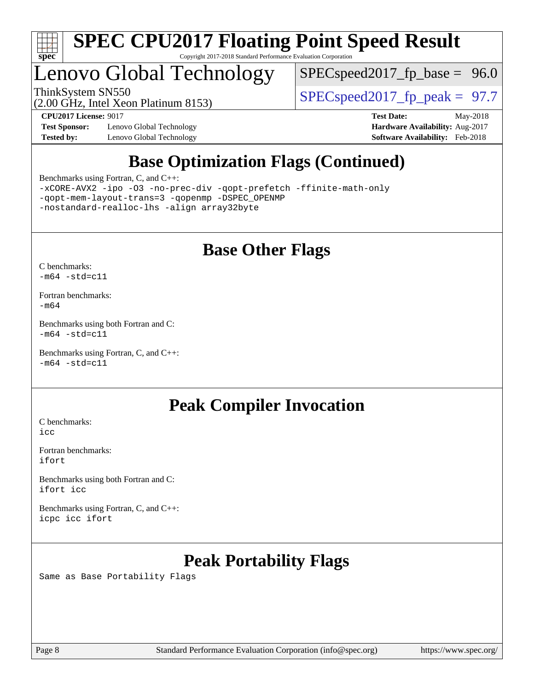

## Lenovo Global Technology

 $SPECspeed2017_fp\_base = 96.0$ 

(2.00 GHz, Intel Xeon Platinum 8153)

ThinkSystem SN550<br>(2.00 GHz, Intel Year Platinum 8153) [SPECspeed2017\\_fp\\_peak =](http://www.spec.org/auto/cpu2017/Docs/result-fields.html#SPECspeed2017fppeak) 97.7

**[Test Sponsor:](http://www.spec.org/auto/cpu2017/Docs/result-fields.html#TestSponsor)** Lenovo Global Technology **[Hardware Availability:](http://www.spec.org/auto/cpu2017/Docs/result-fields.html#HardwareAvailability)** Aug-2017 [Tested by:](http://www.spec.org/auto/cpu2017/Docs/result-fields.html#Testedby) Lenovo Global Technology **[Software Availability:](http://www.spec.org/auto/cpu2017/Docs/result-fields.html#SoftwareAvailability)** Feb-2018

**[CPU2017 License:](http://www.spec.org/auto/cpu2017/Docs/result-fields.html#CPU2017License)** 9017 **[Test Date:](http://www.spec.org/auto/cpu2017/Docs/result-fields.html#TestDate)** May-2018

## **[Base Optimization Flags \(Continued\)](http://www.spec.org/auto/cpu2017/Docs/result-fields.html#BaseOptimizationFlags)**

[Benchmarks using Fortran, C, and C++:](http://www.spec.org/auto/cpu2017/Docs/result-fields.html#BenchmarksusingFortranCandCXX)

[-xCORE-AVX2](http://www.spec.org/cpu2017/results/res2018q3/cpu2017-20180618-07093.flags.html#user_CC_CXX_FCbase_f-xCORE-AVX2) [-ipo](http://www.spec.org/cpu2017/results/res2018q3/cpu2017-20180618-07093.flags.html#user_CC_CXX_FCbase_f-ipo) [-O3](http://www.spec.org/cpu2017/results/res2018q3/cpu2017-20180618-07093.flags.html#user_CC_CXX_FCbase_f-O3) [-no-prec-div](http://www.spec.org/cpu2017/results/res2018q3/cpu2017-20180618-07093.flags.html#user_CC_CXX_FCbase_f-no-prec-div) [-qopt-prefetch](http://www.spec.org/cpu2017/results/res2018q3/cpu2017-20180618-07093.flags.html#user_CC_CXX_FCbase_f-qopt-prefetch) [-ffinite-math-only](http://www.spec.org/cpu2017/results/res2018q3/cpu2017-20180618-07093.flags.html#user_CC_CXX_FCbase_f_finite_math_only_cb91587bd2077682c4b38af759c288ed7c732db004271a9512da14a4f8007909a5f1427ecbf1a0fb78ff2a814402c6114ac565ca162485bbcae155b5e4258871) [-qopt-mem-layout-trans=3](http://www.spec.org/cpu2017/results/res2018q3/cpu2017-20180618-07093.flags.html#user_CC_CXX_FCbase_f-qopt-mem-layout-trans_de80db37974c74b1f0e20d883f0b675c88c3b01e9d123adea9b28688d64333345fb62bc4a798493513fdb68f60282f9a726aa07f478b2f7113531aecce732043) [-qopenmp](http://www.spec.org/cpu2017/results/res2018q3/cpu2017-20180618-07093.flags.html#user_CC_CXX_FCbase_qopenmp_16be0c44f24f464004c6784a7acb94aca937f053568ce72f94b139a11c7c168634a55f6653758ddd83bcf7b8463e8028bb0b48b77bcddc6b78d5d95bb1df2967) [-DSPEC\\_OPENMP](http://www.spec.org/cpu2017/results/res2018q3/cpu2017-20180618-07093.flags.html#suite_CC_CXX_FCbase_DSPEC_OPENMP) [-nostandard-realloc-lhs](http://www.spec.org/cpu2017/results/res2018q3/cpu2017-20180618-07093.flags.html#user_CC_CXX_FCbase_f_2003_std_realloc_82b4557e90729c0f113870c07e44d33d6f5a304b4f63d4c15d2d0f1fab99f5daaed73bdb9275d9ae411527f28b936061aa8b9c8f2d63842963b95c9dd6426b8a) [-align array32byte](http://www.spec.org/cpu2017/results/res2018q3/cpu2017-20180618-07093.flags.html#user_CC_CXX_FCbase_align_array32byte_b982fe038af199962ba9a80c053b8342c548c85b40b8e86eb3cc33dee0d7986a4af373ac2d51c3f7cf710a18d62fdce2948f201cd044323541f22fc0fffc51b6)

## **[Base Other Flags](http://www.spec.org/auto/cpu2017/Docs/result-fields.html#BaseOtherFlags)**

[C benchmarks](http://www.spec.org/auto/cpu2017/Docs/result-fields.html#Cbenchmarks):  $-m64 - std= c11$  $-m64 - std= c11$ 

[Fortran benchmarks](http://www.spec.org/auto/cpu2017/Docs/result-fields.html#Fortranbenchmarks): [-m64](http://www.spec.org/cpu2017/results/res2018q3/cpu2017-20180618-07093.flags.html#user_FCbase_intel_intel64_18.0_af43caccfc8ded86e7699f2159af6efc7655f51387b94da716254467f3c01020a5059329e2569e4053f409e7c9202a7efc638f7a6d1ffb3f52dea4a3e31d82ab)

[Benchmarks using both Fortran and C](http://www.spec.org/auto/cpu2017/Docs/result-fields.html#BenchmarksusingbothFortranandC):  $-m64$   $-std=cl1$ 

[Benchmarks using Fortran, C, and C++:](http://www.spec.org/auto/cpu2017/Docs/result-fields.html#BenchmarksusingFortranCandCXX)  $-m64$   $-std=cl1$ 

### **[Peak Compiler Invocation](http://www.spec.org/auto/cpu2017/Docs/result-fields.html#PeakCompilerInvocation)**

[C benchmarks](http://www.spec.org/auto/cpu2017/Docs/result-fields.html#Cbenchmarks): [icc](http://www.spec.org/cpu2017/results/res2018q3/cpu2017-20180618-07093.flags.html#user_CCpeak_intel_icc_18.0_66fc1ee009f7361af1fbd72ca7dcefbb700085f36577c54f309893dd4ec40d12360134090235512931783d35fd58c0460139e722d5067c5574d8eaf2b3e37e92)

[Fortran benchmarks](http://www.spec.org/auto/cpu2017/Docs/result-fields.html#Fortranbenchmarks): [ifort](http://www.spec.org/cpu2017/results/res2018q3/cpu2017-20180618-07093.flags.html#user_FCpeak_intel_ifort_18.0_8111460550e3ca792625aed983ce982f94888b8b503583aa7ba2b8303487b4d8a21a13e7191a45c5fd58ff318f48f9492884d4413fa793fd88dd292cad7027ca)

[Benchmarks using both Fortran and C](http://www.spec.org/auto/cpu2017/Docs/result-fields.html#BenchmarksusingbothFortranandC): [ifort](http://www.spec.org/cpu2017/results/res2018q3/cpu2017-20180618-07093.flags.html#user_CC_FCpeak_intel_ifort_18.0_8111460550e3ca792625aed983ce982f94888b8b503583aa7ba2b8303487b4d8a21a13e7191a45c5fd58ff318f48f9492884d4413fa793fd88dd292cad7027ca) [icc](http://www.spec.org/cpu2017/results/res2018q3/cpu2017-20180618-07093.flags.html#user_CC_FCpeak_intel_icc_18.0_66fc1ee009f7361af1fbd72ca7dcefbb700085f36577c54f309893dd4ec40d12360134090235512931783d35fd58c0460139e722d5067c5574d8eaf2b3e37e92)

[Benchmarks using Fortran, C, and C++:](http://www.spec.org/auto/cpu2017/Docs/result-fields.html#BenchmarksusingFortranCandCXX) [icpc](http://www.spec.org/cpu2017/results/res2018q3/cpu2017-20180618-07093.flags.html#user_CC_CXX_FCpeak_intel_icpc_18.0_c510b6838c7f56d33e37e94d029a35b4a7bccf4766a728ee175e80a419847e808290a9b78be685c44ab727ea267ec2f070ec5dc83b407c0218cded6866a35d07) [icc](http://www.spec.org/cpu2017/results/res2018q3/cpu2017-20180618-07093.flags.html#user_CC_CXX_FCpeak_intel_icc_18.0_66fc1ee009f7361af1fbd72ca7dcefbb700085f36577c54f309893dd4ec40d12360134090235512931783d35fd58c0460139e722d5067c5574d8eaf2b3e37e92) [ifort](http://www.spec.org/cpu2017/results/res2018q3/cpu2017-20180618-07093.flags.html#user_CC_CXX_FCpeak_intel_ifort_18.0_8111460550e3ca792625aed983ce982f94888b8b503583aa7ba2b8303487b4d8a21a13e7191a45c5fd58ff318f48f9492884d4413fa793fd88dd292cad7027ca)

## **[Peak Portability Flags](http://www.spec.org/auto/cpu2017/Docs/result-fields.html#PeakPortabilityFlags)**

Same as Base Portability Flags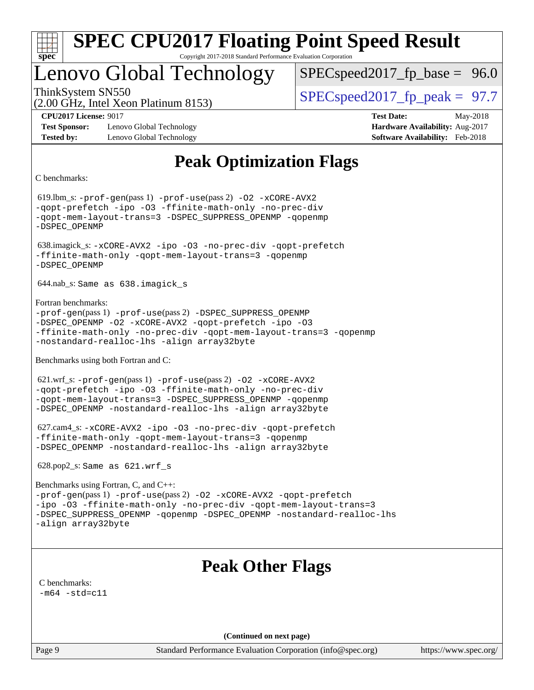

## Lenovo Global Technology

ThinkSystem SN550  $SPEC speed2017$  fp\_peak = 97.7  $SPECspeed2017_fp\_base = 96.0$ 

(2.00 GHz, Intel Xeon Platinum 8153)

**[CPU2017 License:](http://www.spec.org/auto/cpu2017/Docs/result-fields.html#CPU2017License)** 9017 **[Test Date:](http://www.spec.org/auto/cpu2017/Docs/result-fields.html#TestDate)** May-2018

**[Test Sponsor:](http://www.spec.org/auto/cpu2017/Docs/result-fields.html#TestSponsor)** Lenovo Global Technology **[Hardware Availability:](http://www.spec.org/auto/cpu2017/Docs/result-fields.html#HardwareAvailability)** Aug-2017 **[Tested by:](http://www.spec.org/auto/cpu2017/Docs/result-fields.html#Testedby)** Lenovo Global Technology **[Software Availability:](http://www.spec.org/auto/cpu2017/Docs/result-fields.html#SoftwareAvailability)** Feb-2018

## **[Peak Optimization Flags](http://www.spec.org/auto/cpu2017/Docs/result-fields.html#PeakOptimizationFlags)**

[C benchmarks](http://www.spec.org/auto/cpu2017/Docs/result-fields.html#Cbenchmarks):

 619.lbm\_s: [-prof-gen](http://www.spec.org/cpu2017/results/res2018q3/cpu2017-20180618-07093.flags.html#user_peakPASS1_CFLAGSPASS1_LDFLAGS619_lbm_s_prof_gen_5aa4926d6013ddb2a31985c654b3eb18169fc0c6952a63635c234f711e6e63dd76e94ad52365559451ec499a2cdb89e4dc58ba4c67ef54ca681ffbe1461d6b36)(pass 1) [-prof-use](http://www.spec.org/cpu2017/results/res2018q3/cpu2017-20180618-07093.flags.html#user_peakPASS2_CFLAGSPASS2_LDFLAGS619_lbm_s_prof_use_1a21ceae95f36a2b53c25747139a6c16ca95bd9def2a207b4f0849963b97e94f5260e30a0c64f4bb623698870e679ca08317ef8150905d41bd88c6f78df73f19)(pass 2) [-O2](http://www.spec.org/cpu2017/results/res2018q3/cpu2017-20180618-07093.flags.html#user_peakPASS1_COPTIMIZE619_lbm_s_f-O2) [-xCORE-AVX2](http://www.spec.org/cpu2017/results/res2018q3/cpu2017-20180618-07093.flags.html#user_peakPASS2_COPTIMIZE619_lbm_s_f-xCORE-AVX2) [-qopt-prefetch](http://www.spec.org/cpu2017/results/res2018q3/cpu2017-20180618-07093.flags.html#user_peakPASS1_COPTIMIZEPASS2_COPTIMIZE619_lbm_s_f-qopt-prefetch) [-ipo](http://www.spec.org/cpu2017/results/res2018q3/cpu2017-20180618-07093.flags.html#user_peakPASS2_COPTIMIZE619_lbm_s_f-ipo) [-O3](http://www.spec.org/cpu2017/results/res2018q3/cpu2017-20180618-07093.flags.html#user_peakPASS2_COPTIMIZE619_lbm_s_f-O3) [-ffinite-math-only](http://www.spec.org/cpu2017/results/res2018q3/cpu2017-20180618-07093.flags.html#user_peakPASS1_COPTIMIZEPASS2_COPTIMIZE619_lbm_s_f_finite_math_only_cb91587bd2077682c4b38af759c288ed7c732db004271a9512da14a4f8007909a5f1427ecbf1a0fb78ff2a814402c6114ac565ca162485bbcae155b5e4258871) [-no-prec-div](http://www.spec.org/cpu2017/results/res2018q3/cpu2017-20180618-07093.flags.html#user_peakPASS2_COPTIMIZE619_lbm_s_f-no-prec-div) [-qopt-mem-layout-trans=3](http://www.spec.org/cpu2017/results/res2018q3/cpu2017-20180618-07093.flags.html#user_peakPASS1_COPTIMIZEPASS2_COPTIMIZE619_lbm_s_f-qopt-mem-layout-trans_de80db37974c74b1f0e20d883f0b675c88c3b01e9d123adea9b28688d64333345fb62bc4a798493513fdb68f60282f9a726aa07f478b2f7113531aecce732043) [-DSPEC\\_SUPPRESS\\_OPENMP](http://www.spec.org/cpu2017/results/res2018q3/cpu2017-20180618-07093.flags.html#suite_peakPASS1_COPTIMIZE619_lbm_s_DSPEC_SUPPRESS_OPENMP) [-qopenmp](http://www.spec.org/cpu2017/results/res2018q3/cpu2017-20180618-07093.flags.html#user_peakPASS2_COPTIMIZE619_lbm_s_qopenmp_16be0c44f24f464004c6784a7acb94aca937f053568ce72f94b139a11c7c168634a55f6653758ddd83bcf7b8463e8028bb0b48b77bcddc6b78d5d95bb1df2967) [-DSPEC\\_OPENMP](http://www.spec.org/cpu2017/results/res2018q3/cpu2017-20180618-07093.flags.html#suite_peakPASS2_COPTIMIZE619_lbm_s_DSPEC_OPENMP) 638.imagick\_s: [-xCORE-AVX2](http://www.spec.org/cpu2017/results/res2018q3/cpu2017-20180618-07093.flags.html#user_peakCOPTIMIZE638_imagick_s_f-xCORE-AVX2) [-ipo](http://www.spec.org/cpu2017/results/res2018q3/cpu2017-20180618-07093.flags.html#user_peakCOPTIMIZE638_imagick_s_f-ipo) [-O3](http://www.spec.org/cpu2017/results/res2018q3/cpu2017-20180618-07093.flags.html#user_peakCOPTIMIZE638_imagick_s_f-O3) [-no-prec-div](http://www.spec.org/cpu2017/results/res2018q3/cpu2017-20180618-07093.flags.html#user_peakCOPTIMIZE638_imagick_s_f-no-prec-div) [-qopt-prefetch](http://www.spec.org/cpu2017/results/res2018q3/cpu2017-20180618-07093.flags.html#user_peakCOPTIMIZE638_imagick_s_f-qopt-prefetch) [-ffinite-math-only](http://www.spec.org/cpu2017/results/res2018q3/cpu2017-20180618-07093.flags.html#user_peakCOPTIMIZE638_imagick_s_f_finite_math_only_cb91587bd2077682c4b38af759c288ed7c732db004271a9512da14a4f8007909a5f1427ecbf1a0fb78ff2a814402c6114ac565ca162485bbcae155b5e4258871) [-qopt-mem-layout-trans=3](http://www.spec.org/cpu2017/results/res2018q3/cpu2017-20180618-07093.flags.html#user_peakCOPTIMIZE638_imagick_s_f-qopt-mem-layout-trans_de80db37974c74b1f0e20d883f0b675c88c3b01e9d123adea9b28688d64333345fb62bc4a798493513fdb68f60282f9a726aa07f478b2f7113531aecce732043) [-qopenmp](http://www.spec.org/cpu2017/results/res2018q3/cpu2017-20180618-07093.flags.html#user_peakCOPTIMIZE638_imagick_s_qopenmp_16be0c44f24f464004c6784a7acb94aca937f053568ce72f94b139a11c7c168634a55f6653758ddd83bcf7b8463e8028bb0b48b77bcddc6b78d5d95bb1df2967) [-DSPEC\\_OPENMP](http://www.spec.org/cpu2017/results/res2018q3/cpu2017-20180618-07093.flags.html#suite_peakCOPTIMIZE638_imagick_s_DSPEC_OPENMP) 644.nab\_s: Same as 638.imagick\_s [Fortran benchmarks:](http://www.spec.org/auto/cpu2017/Docs/result-fields.html#Fortranbenchmarks) [-prof-gen](http://www.spec.org/cpu2017/results/res2018q3/cpu2017-20180618-07093.flags.html#user_FCpeak_prof_gen_5aa4926d6013ddb2a31985c654b3eb18169fc0c6952a63635c234f711e6e63dd76e94ad52365559451ec499a2cdb89e4dc58ba4c67ef54ca681ffbe1461d6b36)(pass 1) [-prof-use](http://www.spec.org/cpu2017/results/res2018q3/cpu2017-20180618-07093.flags.html#user_FCpeak_prof_use_1a21ceae95f36a2b53c25747139a6c16ca95bd9def2a207b4f0849963b97e94f5260e30a0c64f4bb623698870e679ca08317ef8150905d41bd88c6f78df73f19)(pass 2) [-DSPEC\\_SUPPRESS\\_OPENMP](http://www.spec.org/cpu2017/results/res2018q3/cpu2017-20180618-07093.flags.html#suite_FCpeak_DSPEC_SUPPRESS_OPENMP) [-DSPEC\\_OPENMP](http://www.spec.org/cpu2017/results/res2018q3/cpu2017-20180618-07093.flags.html#suite_FCpeak_DSPEC_OPENMP) [-O2](http://www.spec.org/cpu2017/results/res2018q3/cpu2017-20180618-07093.flags.html#user_FCpeak_f-O2) [-xCORE-AVX2](http://www.spec.org/cpu2017/results/res2018q3/cpu2017-20180618-07093.flags.html#user_FCpeak_f-xCORE-AVX2) [-qopt-prefetch](http://www.spec.org/cpu2017/results/res2018q3/cpu2017-20180618-07093.flags.html#user_FCpeak_f-qopt-prefetch) [-ipo](http://www.spec.org/cpu2017/results/res2018q3/cpu2017-20180618-07093.flags.html#user_FCpeak_f-ipo) [-O3](http://www.spec.org/cpu2017/results/res2018q3/cpu2017-20180618-07093.flags.html#user_FCpeak_f-O3) [-ffinite-math-only](http://www.spec.org/cpu2017/results/res2018q3/cpu2017-20180618-07093.flags.html#user_FCpeak_f_finite_math_only_cb91587bd2077682c4b38af759c288ed7c732db004271a9512da14a4f8007909a5f1427ecbf1a0fb78ff2a814402c6114ac565ca162485bbcae155b5e4258871) [-no-prec-div](http://www.spec.org/cpu2017/results/res2018q3/cpu2017-20180618-07093.flags.html#user_FCpeak_f-no-prec-div) [-qopt-mem-layout-trans=3](http://www.spec.org/cpu2017/results/res2018q3/cpu2017-20180618-07093.flags.html#user_FCpeak_f-qopt-mem-layout-trans_de80db37974c74b1f0e20d883f0b675c88c3b01e9d123adea9b28688d64333345fb62bc4a798493513fdb68f60282f9a726aa07f478b2f7113531aecce732043) [-qopenmp](http://www.spec.org/cpu2017/results/res2018q3/cpu2017-20180618-07093.flags.html#user_FCpeak_qopenmp_16be0c44f24f464004c6784a7acb94aca937f053568ce72f94b139a11c7c168634a55f6653758ddd83bcf7b8463e8028bb0b48b77bcddc6b78d5d95bb1df2967) [-nostandard-realloc-lhs](http://www.spec.org/cpu2017/results/res2018q3/cpu2017-20180618-07093.flags.html#user_FCpeak_f_2003_std_realloc_82b4557e90729c0f113870c07e44d33d6f5a304b4f63d4c15d2d0f1fab99f5daaed73bdb9275d9ae411527f28b936061aa8b9c8f2d63842963b95c9dd6426b8a) [-align array32byte](http://www.spec.org/cpu2017/results/res2018q3/cpu2017-20180618-07093.flags.html#user_FCpeak_align_array32byte_b982fe038af199962ba9a80c053b8342c548c85b40b8e86eb3cc33dee0d7986a4af373ac2d51c3f7cf710a18d62fdce2948f201cd044323541f22fc0fffc51b6) [Benchmarks using both Fortran and C](http://www.spec.org/auto/cpu2017/Docs/result-fields.html#BenchmarksusingbothFortranandC): 621.wrf\_s: [-prof-gen](http://www.spec.org/cpu2017/results/res2018q3/cpu2017-20180618-07093.flags.html#user_peakPASS1_CFLAGSPASS1_FFLAGSPASS1_LDFLAGS621_wrf_s_prof_gen_5aa4926d6013ddb2a31985c654b3eb18169fc0c6952a63635c234f711e6e63dd76e94ad52365559451ec499a2cdb89e4dc58ba4c67ef54ca681ffbe1461d6b36)(pass 1) [-prof-use](http://www.spec.org/cpu2017/results/res2018q3/cpu2017-20180618-07093.flags.html#user_peakPASS2_CFLAGSPASS2_FFLAGSPASS2_LDFLAGS621_wrf_s_prof_use_1a21ceae95f36a2b53c25747139a6c16ca95bd9def2a207b4f0849963b97e94f5260e30a0c64f4bb623698870e679ca08317ef8150905d41bd88c6f78df73f19)(pass 2) [-O2](http://www.spec.org/cpu2017/results/res2018q3/cpu2017-20180618-07093.flags.html#user_peakPASS1_COPTIMIZEPASS1_FOPTIMIZE621_wrf_s_f-O2) [-xCORE-AVX2](http://www.spec.org/cpu2017/results/res2018q3/cpu2017-20180618-07093.flags.html#user_peakPASS2_COPTIMIZEPASS2_FOPTIMIZE621_wrf_s_f-xCORE-AVX2) [-qopt-prefetch](http://www.spec.org/cpu2017/results/res2018q3/cpu2017-20180618-07093.flags.html#user_peakPASS1_COPTIMIZEPASS1_FOPTIMIZEPASS2_COPTIMIZEPASS2_FOPTIMIZE621_wrf_s_f-qopt-prefetch) [-ipo](http://www.spec.org/cpu2017/results/res2018q3/cpu2017-20180618-07093.flags.html#user_peakPASS2_COPTIMIZEPASS2_FOPTIMIZE621_wrf_s_f-ipo) [-O3](http://www.spec.org/cpu2017/results/res2018q3/cpu2017-20180618-07093.flags.html#user_peakPASS2_COPTIMIZEPASS2_FOPTIMIZE621_wrf_s_f-O3) [-ffinite-math-only](http://www.spec.org/cpu2017/results/res2018q3/cpu2017-20180618-07093.flags.html#user_peakPASS1_COPTIMIZEPASS1_FOPTIMIZEPASS2_COPTIMIZEPASS2_FOPTIMIZE621_wrf_s_f_finite_math_only_cb91587bd2077682c4b38af759c288ed7c732db004271a9512da14a4f8007909a5f1427ecbf1a0fb78ff2a814402c6114ac565ca162485bbcae155b5e4258871) [-no-prec-div](http://www.spec.org/cpu2017/results/res2018q3/cpu2017-20180618-07093.flags.html#user_peakPASS2_COPTIMIZEPASS2_FOPTIMIZE621_wrf_s_f-no-prec-div) [-qopt-mem-layout-trans=3](http://www.spec.org/cpu2017/results/res2018q3/cpu2017-20180618-07093.flags.html#user_peakPASS1_COPTIMIZEPASS1_FOPTIMIZEPASS2_COPTIMIZEPASS2_FOPTIMIZE621_wrf_s_f-qopt-mem-layout-trans_de80db37974c74b1f0e20d883f0b675c88c3b01e9d123adea9b28688d64333345fb62bc4a798493513fdb68f60282f9a726aa07f478b2f7113531aecce732043) [-DSPEC\\_SUPPRESS\\_OPENMP](http://www.spec.org/cpu2017/results/res2018q3/cpu2017-20180618-07093.flags.html#suite_peakPASS1_COPTIMIZEPASS1_FOPTIMIZE621_wrf_s_DSPEC_SUPPRESS_OPENMP) [-qopenmp](http://www.spec.org/cpu2017/results/res2018q3/cpu2017-20180618-07093.flags.html#user_peakPASS2_COPTIMIZEPASS2_FOPTIMIZE621_wrf_s_qopenmp_16be0c44f24f464004c6784a7acb94aca937f053568ce72f94b139a11c7c168634a55f6653758ddd83bcf7b8463e8028bb0b48b77bcddc6b78d5d95bb1df2967) [-DSPEC\\_OPENMP](http://www.spec.org/cpu2017/results/res2018q3/cpu2017-20180618-07093.flags.html#suite_peakPASS2_COPTIMIZEPASS2_FOPTIMIZE621_wrf_s_DSPEC_OPENMP) [-nostandard-realloc-lhs](http://www.spec.org/cpu2017/results/res2018q3/cpu2017-20180618-07093.flags.html#user_peakEXTRA_FOPTIMIZE621_wrf_s_f_2003_std_realloc_82b4557e90729c0f113870c07e44d33d6f5a304b4f63d4c15d2d0f1fab99f5daaed73bdb9275d9ae411527f28b936061aa8b9c8f2d63842963b95c9dd6426b8a) [-align array32byte](http://www.spec.org/cpu2017/results/res2018q3/cpu2017-20180618-07093.flags.html#user_peakEXTRA_FOPTIMIZE621_wrf_s_align_array32byte_b982fe038af199962ba9a80c053b8342c548c85b40b8e86eb3cc33dee0d7986a4af373ac2d51c3f7cf710a18d62fdce2948f201cd044323541f22fc0fffc51b6) 627.cam4\_s: [-xCORE-AVX2](http://www.spec.org/cpu2017/results/res2018q3/cpu2017-20180618-07093.flags.html#user_peakCOPTIMIZEFOPTIMIZE627_cam4_s_f-xCORE-AVX2) [-ipo](http://www.spec.org/cpu2017/results/res2018q3/cpu2017-20180618-07093.flags.html#user_peakCOPTIMIZEFOPTIMIZE627_cam4_s_f-ipo) [-O3](http://www.spec.org/cpu2017/results/res2018q3/cpu2017-20180618-07093.flags.html#user_peakCOPTIMIZEFOPTIMIZE627_cam4_s_f-O3) [-no-prec-div](http://www.spec.org/cpu2017/results/res2018q3/cpu2017-20180618-07093.flags.html#user_peakCOPTIMIZEFOPTIMIZE627_cam4_s_f-no-prec-div) [-qopt-prefetch](http://www.spec.org/cpu2017/results/res2018q3/cpu2017-20180618-07093.flags.html#user_peakCOPTIMIZEFOPTIMIZE627_cam4_s_f-qopt-prefetch) [-ffinite-math-only](http://www.spec.org/cpu2017/results/res2018q3/cpu2017-20180618-07093.flags.html#user_peakCOPTIMIZEFOPTIMIZE627_cam4_s_f_finite_math_only_cb91587bd2077682c4b38af759c288ed7c732db004271a9512da14a4f8007909a5f1427ecbf1a0fb78ff2a814402c6114ac565ca162485bbcae155b5e4258871) [-qopt-mem-layout-trans=3](http://www.spec.org/cpu2017/results/res2018q3/cpu2017-20180618-07093.flags.html#user_peakCOPTIMIZEFOPTIMIZE627_cam4_s_f-qopt-mem-layout-trans_de80db37974c74b1f0e20d883f0b675c88c3b01e9d123adea9b28688d64333345fb62bc4a798493513fdb68f60282f9a726aa07f478b2f7113531aecce732043) [-qopenmp](http://www.spec.org/cpu2017/results/res2018q3/cpu2017-20180618-07093.flags.html#user_peakCOPTIMIZEFOPTIMIZE627_cam4_s_qopenmp_16be0c44f24f464004c6784a7acb94aca937f053568ce72f94b139a11c7c168634a55f6653758ddd83bcf7b8463e8028bb0b48b77bcddc6b78d5d95bb1df2967) [-DSPEC\\_OPENMP](http://www.spec.org/cpu2017/results/res2018q3/cpu2017-20180618-07093.flags.html#suite_peakCOPTIMIZEFOPTIMIZE627_cam4_s_DSPEC_OPENMP) [-nostandard-realloc-lhs](http://www.spec.org/cpu2017/results/res2018q3/cpu2017-20180618-07093.flags.html#user_peakEXTRA_FOPTIMIZE627_cam4_s_f_2003_std_realloc_82b4557e90729c0f113870c07e44d33d6f5a304b4f63d4c15d2d0f1fab99f5daaed73bdb9275d9ae411527f28b936061aa8b9c8f2d63842963b95c9dd6426b8a) [-align array32byte](http://www.spec.org/cpu2017/results/res2018q3/cpu2017-20180618-07093.flags.html#user_peakEXTRA_FOPTIMIZE627_cam4_s_align_array32byte_b982fe038af199962ba9a80c053b8342c548c85b40b8e86eb3cc33dee0d7986a4af373ac2d51c3f7cf710a18d62fdce2948f201cd044323541f22fc0fffc51b6) 628.pop2\_s: Same as 621.wrf\_s [Benchmarks using Fortran, C, and C++](http://www.spec.org/auto/cpu2017/Docs/result-fields.html#BenchmarksusingFortranCandCXX): [-prof-gen](http://www.spec.org/cpu2017/results/res2018q3/cpu2017-20180618-07093.flags.html#user_CC_CXX_FCpeak_prof_gen_5aa4926d6013ddb2a31985c654b3eb18169fc0c6952a63635c234f711e6e63dd76e94ad52365559451ec499a2cdb89e4dc58ba4c67ef54ca681ffbe1461d6b36)(pass 1) [-prof-use](http://www.spec.org/cpu2017/results/res2018q3/cpu2017-20180618-07093.flags.html#user_CC_CXX_FCpeak_prof_use_1a21ceae95f36a2b53c25747139a6c16ca95bd9def2a207b4f0849963b97e94f5260e30a0c64f4bb623698870e679ca08317ef8150905d41bd88c6f78df73f19)(pass 2) [-O2](http://www.spec.org/cpu2017/results/res2018q3/cpu2017-20180618-07093.flags.html#user_CC_CXX_FCpeak_f-O2) [-xCORE-AVX2](http://www.spec.org/cpu2017/results/res2018q3/cpu2017-20180618-07093.flags.html#user_CC_CXX_FCpeak_f-xCORE-AVX2) [-qopt-prefetch](http://www.spec.org/cpu2017/results/res2018q3/cpu2017-20180618-07093.flags.html#user_CC_CXX_FCpeak_f-qopt-prefetch) [-ipo](http://www.spec.org/cpu2017/results/res2018q3/cpu2017-20180618-07093.flags.html#user_CC_CXX_FCpeak_f-ipo) [-O3](http://www.spec.org/cpu2017/results/res2018q3/cpu2017-20180618-07093.flags.html#user_CC_CXX_FCpeak_f-O3) [-ffinite-math-only](http://www.spec.org/cpu2017/results/res2018q3/cpu2017-20180618-07093.flags.html#user_CC_CXX_FCpeak_f_finite_math_only_cb91587bd2077682c4b38af759c288ed7c732db004271a9512da14a4f8007909a5f1427ecbf1a0fb78ff2a814402c6114ac565ca162485bbcae155b5e4258871) [-no-prec-div](http://www.spec.org/cpu2017/results/res2018q3/cpu2017-20180618-07093.flags.html#user_CC_CXX_FCpeak_f-no-prec-div) [-qopt-mem-layout-trans=3](http://www.spec.org/cpu2017/results/res2018q3/cpu2017-20180618-07093.flags.html#user_CC_CXX_FCpeak_f-qopt-mem-layout-trans_de80db37974c74b1f0e20d883f0b675c88c3b01e9d123adea9b28688d64333345fb62bc4a798493513fdb68f60282f9a726aa07f478b2f7113531aecce732043) [-DSPEC\\_SUPPRESS\\_OPENMP](http://www.spec.org/cpu2017/results/res2018q3/cpu2017-20180618-07093.flags.html#suite_CC_CXX_FCpeak_DSPEC_SUPPRESS_OPENMP) [-qopenmp](http://www.spec.org/cpu2017/results/res2018q3/cpu2017-20180618-07093.flags.html#user_CC_CXX_FCpeak_qopenmp_16be0c44f24f464004c6784a7acb94aca937f053568ce72f94b139a11c7c168634a55f6653758ddd83bcf7b8463e8028bb0b48b77bcddc6b78d5d95bb1df2967) [-DSPEC\\_OPENMP](http://www.spec.org/cpu2017/results/res2018q3/cpu2017-20180618-07093.flags.html#suite_CC_CXX_FCpeak_DSPEC_OPENMP) [-nostandard-realloc-lhs](http://www.spec.org/cpu2017/results/res2018q3/cpu2017-20180618-07093.flags.html#user_CC_CXX_FCpeak_f_2003_std_realloc_82b4557e90729c0f113870c07e44d33d6f5a304b4f63d4c15d2d0f1fab99f5daaed73bdb9275d9ae411527f28b936061aa8b9c8f2d63842963b95c9dd6426b8a) [-align array32byte](http://www.spec.org/cpu2017/results/res2018q3/cpu2017-20180618-07093.flags.html#user_CC_CXX_FCpeak_align_array32byte_b982fe038af199962ba9a80c053b8342c548c85b40b8e86eb3cc33dee0d7986a4af373ac2d51c3f7cf710a18d62fdce2948f201cd044323541f22fc0fffc51b6) **[Peak Other Flags](http://www.spec.org/auto/cpu2017/Docs/result-fields.html#PeakOtherFlags)** [C benchmarks](http://www.spec.org/auto/cpu2017/Docs/result-fields.html#Cbenchmarks):  $-m64 - std= c11$  $-m64 - std= c11$ **(Continued on next page)**

Page 9 Standard Performance Evaluation Corporation [\(info@spec.org\)](mailto:info@spec.org) <https://www.spec.org/>